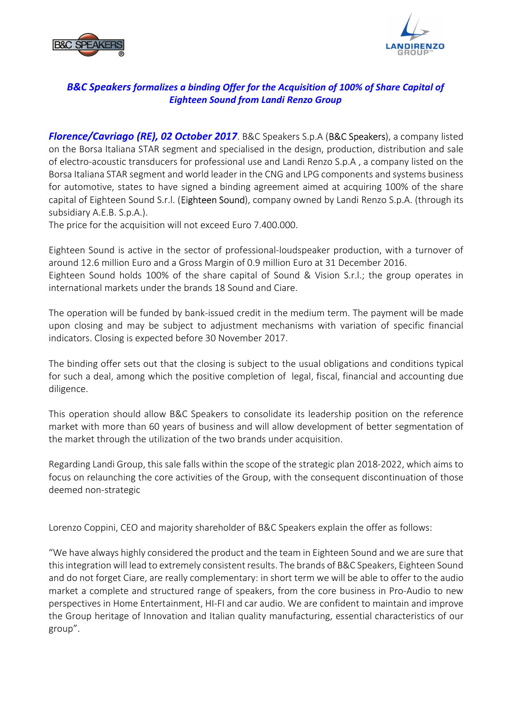



## *B&C Speakers formalizes a binding Offer for the Acquisition of 100% of Share Capital of Eighteen Sound from Landi Renzo Group*

*Florence/Cavriago (RE), 02 October 2017*. B&C Speakers S.p.A (B&C Speakers), a company listed on the Borsa Italiana STAR segment and specialised in the design, production, distribution and sale of electro-acoustic transducers for professional use and Landi Renzo S.p.A , a company listed on the Borsa Italiana STAR segment and world leader in the CNG and LPG components and systems business for automotive, states to have signed a binding agreement aimed at acquiring 100% of the share capital of Eighteen Sound S.r.l. (Eighteen Sound), company owned by Landi Renzo S.p.A. (through its subsidiary A.E.B. S.p.A.).

The price for the acquisition will not exceed Euro 7.400.000.

Eighteen Sound is active in the sector of professional-loudspeaker production, with a turnover of around 12.6 million Euro and a Gross Margin of 0.9 million Euro at 31 December 2016. Eighteen Sound holds 100% of the share capital of Sound & Vision S.r.l.; the group operates in international markets under the brands 18 Sound and Ciare.

The operation will be funded by bank-issued credit in the medium term. The payment will be made upon closing and may be subject to adjustment mechanisms with variation of specific financial indicators. Closing is expected before 30 November 2017.

The binding offer sets out that the closing is subject to the usual obligations and conditions typical for such a deal, among which the positive completion of legal, fiscal, financial and accounting due diligence.

This operation should allow B&C Speakers to consolidate its leadership position on the reference market with more than 60 years of business and will allow development of better segmentation of the market through the utilization of the two brands under acquisition.

Regarding Landi Group, this sale falls within the scope of the strategic plan 2018-2022, which aims to focus on relaunching the core activities of the Group, with the consequent discontinuation of those deemed non-strategic

Lorenzo Coppini, CEO and majority shareholder of B&C Speakers explain the offer as follows:

"We have always highly considered the product and the team in Eighteen Sound and we are sure that this integration will lead to extremely consistent results. The brands of B&C Speakers, Eighteen Sound and do not forget Ciare, are really complementary: in short term we will be able to offer to the audio market a complete and structured range of speakers, from the core business in Pro-Audio to new perspectives in Home Entertainment, HI-FI and car audio. We are confident to maintain and improve the Group heritage of Innovation and Italian quality manufacturing, essential characteristics of our group".